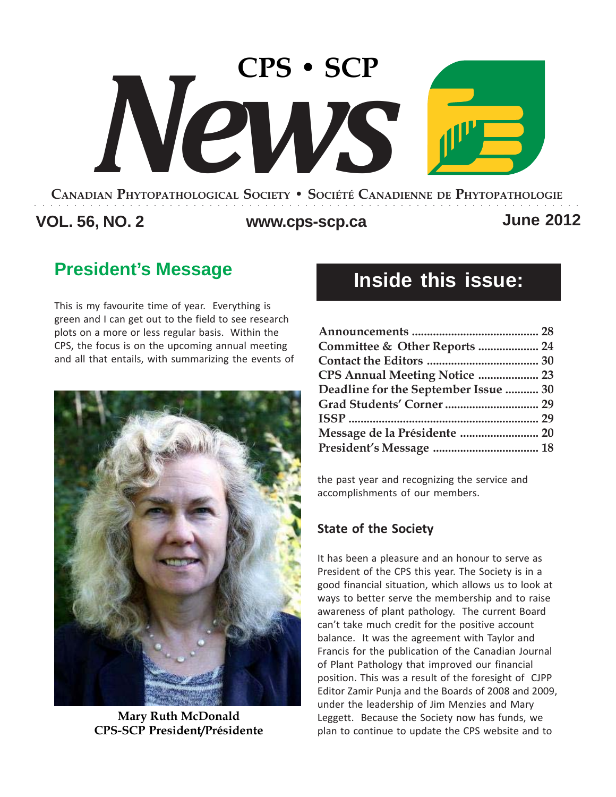# **CANADIAN PHYTOPATHOLOGICAL SOCIETY • SOCIÉTÉ CANADIENNE DE PHYTOPATHOLOGIE CPS • SCP** *News*

**VOL. 56, NO. 2 www.cps-scp.ca June 2012** ○○○○○○○○○○○○○○○○○○○○○○○○○○○○○○○○○○○○○○○○○○○○○○○○○○○○○○○○○○○○○○○○○○○○○

## **President's Message**

This is my favourite time of year. Everything is green and I can get out to the field to see research plots on a more or less regular basis. Within the CPS, the focus is on the upcoming annual meeting and all that entails, with summarizing the events of



**Mary Ruth McDonald CPS-SCP President/Présidente**

## **Inside this issue:**

| Committee & Other Reports  24        |
|--------------------------------------|
|                                      |
| CPS Annual Meeting Notice  23        |
| Deadline for the September Issue  30 |
|                                      |
|                                      |
| Message de la Présidente  20         |
|                                      |

the past year and recognizing the service and accomplishments of our members.

### **State of the Society**

It has been a pleasure and an honour to serve as President of the CPS this year. The Society is in a good financial situation, which allows us to look at ways to better serve the membership and to raise awareness of plant pathology. The current Board can't take much credit for the positive account balance. It was the agreement with Taylor and Francis for the publication of the Canadian Journal of Plant Pathology that improved our financial position. This was a result of the foresight of CJPP Editor Zamir Punja and the Boards of 2008 and 2009, under the leadership of Jim Menzies and Mary Leggett. Because the Society now has funds, we plan to continue to update the CPS website and to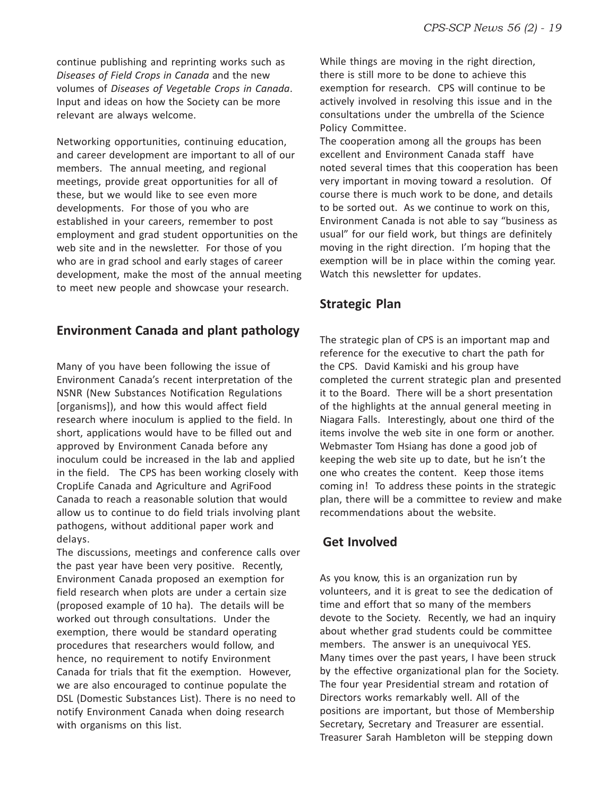continue publishing and reprinting works such as *Diseases of Field Crops in Canada* and the new volumes of *Diseases of Vegetable Crops in Canada*. Input and ideas on how the Society can be more relevant are always welcome.

Networking opportunities, continuing education, and career development are important to all of our members. The annual meeting, and regional meetings, provide great opportunities for all of these, but we would like to see even more developments. For those of you who are established in your careers, remember to post employment and grad student opportunities on the web site and in the newsletter. For those of you who are in grad school and early stages of career development, make the most of the annual meeting to meet new people and showcase your research.

#### **Environment Canada and plant pathology**

Many of you have been following the issue of Environment Canada's recent interpretation of the NSNR (New Substances Notification Regulations [organisms]), and how this would affect field research where inoculum is applied to the field. In short, applications would have to be filled out and approved by Environment Canada before any inoculum could be increased in the lab and applied in the field. The CPS has been working closely with CropLife Canada and Agriculture and AgriFood Canada to reach a reasonable solution that would allow us to continue to do field trials involving plant pathogens, without additional paper work and delays.

The discussions, meetings and conference calls over the past year have been very positive. Recently, Environment Canada proposed an exemption for field research when plots are under a certain size (proposed example of 10 ha). The details will be worked out through consultations. Under the exemption, there would be standard operating procedures that researchers would follow, and hence, no requirement to notify Environment Canada for trials that fit the exemption. However, we are also encouraged to continue populate the DSL (Domestic Substances List). There is no need to notify Environment Canada when doing research with organisms on this list.

While things are moving in the right direction, there is still more to be done to achieve this exemption for research. CPS will continue to be actively involved in resolving this issue and in the consultations under the umbrella of the Science Policy Committee.

The cooperation among all the groups has been excellent and Environment Canada staff have noted several times that this cooperation has been very important in moving toward a resolution. Of course there is much work to be done, and details to be sorted out. As we continue to work on this, Environment Canada is not able to say "business as usual" for our field work, but things are definitely moving in the right direction. I'm hoping that the exemption will be in place within the coming year. Watch this newsletter for updates.

#### **Strategic Plan**

The strategic plan of CPS is an important map and reference for the executive to chart the path for the CPS. David Kamiski and his group have completed the current strategic plan and presented it to the Board. There will be a short presentation of the highlights at the annual general meeting in Niagara Falls. Interestingly, about one third of the items involve the web site in one form or another. Webmaster Tom Hsiang has done a good job of keeping the web site up to date, but he isn't the one who creates the content. Keep those items coming in! To address these points in the strategic plan, there will be a committee to review and make recommendations about the website.

#### **Get Involved**

As you know, this is an organization run by volunteers, and it is great to see the dedication of time and effort that so many of the members devote to the Society. Recently, we had an inquiry about whether grad students could be committee members. The answer is an unequivocal YES. Many times over the past years, I have been struck by the effective organizational plan for the Society. The four year Presidential stream and rotation of Directors works remarkably well. All of the positions are important, but those of Membership Secretary, Secretary and Treasurer are essential. Treasurer Sarah Hambleton will be stepping down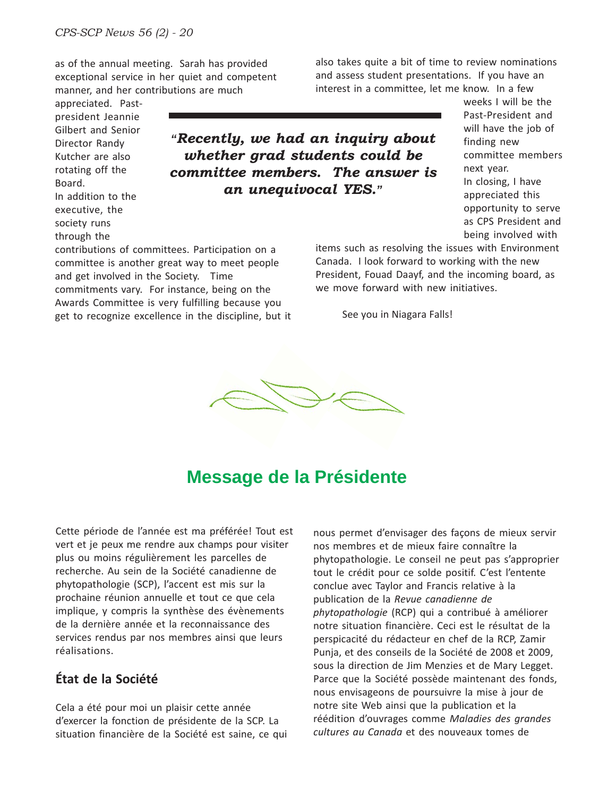as of the annual meeting. Sarah has provided exceptional service in her quiet and competent manner, and her contributions are much

appreciated. Pastpresident Jeannie Gilbert and Senior Director Randy Kutcher are also rotating off the Board. In addition to the executive, the society runs through the

*"Recently, we had an inquiry about whether grad students could be committee members. The answer is an unequivocal YES."*

contributions of committees. Participation on a committee is another great way to meet people and get involved in the Society. Time commitments vary. For instance, being on the Awards Committee is very fulfilling because you get to recognize excellence in the discipline, but it also takes quite a bit of time to review nominations and assess student presentations. If you have an interest in a committee, let me know. In a few

weeks I will be the Past-President and will have the job of finding new committee members next year. In closing, I have appreciated this opportunity to serve as CPS President and being involved with

items such as resolving the issues with Environment Canada. I look forward to working with the new President, Fouad Daayf, and the incoming board, as we move forward with new initiatives.

See you in Niagara Falls!



## **Message de la Présidente**

Cette période de l'année est ma préférée! Tout est vert et je peux me rendre aux champs pour visiter plus ou moins régulièrement les parcelles de recherche. Au sein de la Société canadienne de phytopathologie (SCP), l'accent est mis sur la prochaine réunion annuelle et tout ce que cela implique, y compris la synthèse des évènements de la dernière année et la reconnaissance des services rendus par nos membres ainsi que leurs réalisations.

#### **État de la Société**

Cela a été pour moi un plaisir cette année d'exercer la fonction de présidente de la SCP. La situation financière de la Société est saine, ce qui nous permet d'envisager des façons de mieux servir nos membres et de mieux faire connaître la phytopathologie. Le conseil ne peut pas s'approprier tout le crédit pour ce solde positif. C'est l'entente conclue avec Taylor and Francis relative à la publication de la *Revue canadienne de phytopathologie* (RCP) qui a contribué à améliorer notre situation financière. Ceci est le résultat de la perspicacité du rédacteur en chef de la RCP, Zamir Punja, et des conseils de la Société de 2008 et 2009, sous la direction de Jim Menzies et de Mary Legget. Parce que la Société possède maintenant des fonds, nous envisageons de poursuivre la mise à jour de notre site Web ainsi que la publication et la réédition d'ouvrages comme *Maladies des grandes cultures au Canada* et des nouveaux tomes de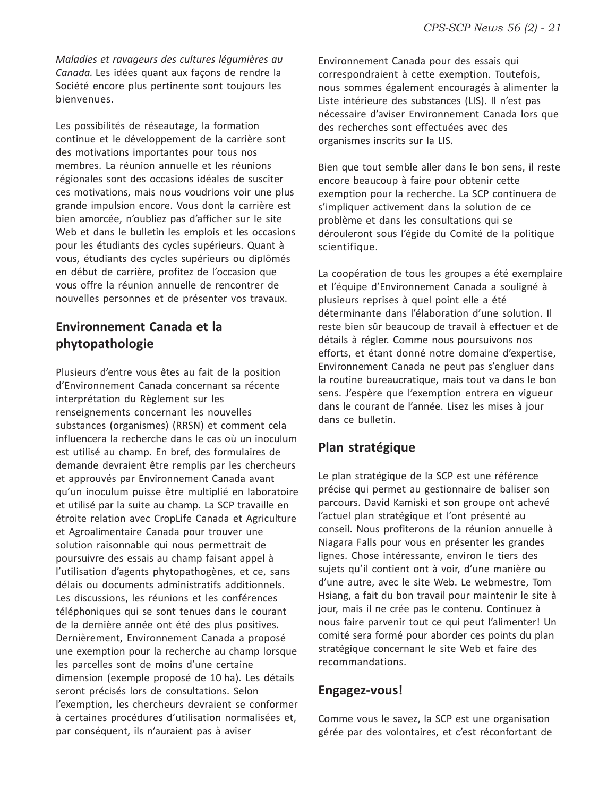*Maladies et ravageurs des cultures légumières au Canada.* Les idées quant aux façons de rendre la Société encore plus pertinente sont toujours les bienvenues.

Les possibilités de réseautage, la formation continue et le développement de la carrière sont des motivations importantes pour tous nos membres. La réunion annuelle et les réunions régionales sont des occasions idéales de susciter ces motivations, mais nous voudrions voir une plus grande impulsion encore. Vous dont la carrière est bien amorcée, n'oubliez pas d'afficher sur le site Web et dans le bulletin les emplois et les occasions pour les étudiants des cycles supérieurs. Quant à vous, étudiants des cycles supérieurs ou diplômés en début de carrière, profitez de l'occasion que vous offre la réunion annuelle de rencontrer de nouvelles personnes et de présenter vos travaux.

#### **Environnement Canada et la phytopathologie**

Plusieurs d'entre vous êtes au fait de la position d'Environnement Canada concernant sa récente interprétation du Règlement sur les renseignements concernant les nouvelles substances (organismes) (RRSN) et comment cela influencera la recherche dans le cas où un inoculum est utilisé au champ. En bref, des formulaires de demande devraient être remplis par les chercheurs et approuvés par Environnement Canada avant qu'un inoculum puisse être multiplié en laboratoire et utilisé par la suite au champ. La SCP travaille en étroite relation avec CropLife Canada et Agriculture et Agroalimentaire Canada pour trouver une solution raisonnable qui nous permettrait de poursuivre des essais au champ faisant appel à l'utilisation d'agents phytopathogènes, et ce, sans délais ou documents administratifs additionnels. Les discussions, les réunions et les conférences téléphoniques qui se sont tenues dans le courant de la dernière année ont été des plus positives. Dernièrement, Environnement Canada a proposé une exemption pour la recherche au champ lorsque les parcelles sont de moins d'une certaine dimension (exemple proposé de 10 ha). Les détails seront précisés lors de consultations. Selon l'exemption, les chercheurs devraient se conformer à certaines procédures d'utilisation normalisées et, par conséquent, ils n'auraient pas à aviser

Environnement Canada pour des essais qui correspondraient à cette exemption. Toutefois, nous sommes également encouragés à alimenter la Liste intérieure des substances (LIS). Il n'est pas nécessaire d'aviser Environnement Canada lors que des recherches sont effectuées avec des organismes inscrits sur la LIS.

Bien que tout semble aller dans le bon sens, il reste encore beaucoup à faire pour obtenir cette exemption pour la recherche. La SCP continuera de s'impliquer activement dans la solution de ce problème et dans les consultations qui se dérouleront sous l'égide du Comité de la politique scientifique.

La coopération de tous les groupes a été exemplaire et l'équipe d'Environnement Canada a souligné à plusieurs reprises à quel point elle a été déterminante dans l'élaboration d'une solution. Il reste bien sûr beaucoup de travail à effectuer et de détails à régler. Comme nous poursuivons nos efforts, et étant donné notre domaine d'expertise, Environnement Canada ne peut pas s'engluer dans la routine bureaucratique, mais tout va dans le bon sens. J'espère que l'exemption entrera en vigueur dans le courant de l'année. Lisez les mises à jour dans ce bulletin.

#### **Plan stratégique**

Le plan stratégique de la SCP est une référence précise qui permet au gestionnaire de baliser son parcours. David Kamiski et son groupe ont achevé l'actuel plan stratégique et l'ont présenté au conseil. Nous profiterons de la réunion annuelle à Niagara Falls pour vous en présenter les grandes lignes. Chose intéressante, environ le tiers des sujets qu'il contient ont à voir, d'une manière ou d'une autre, avec le site Web. Le webmestre, Tom Hsiang, a fait du bon travail pour maintenir le site à jour, mais il ne crée pas le contenu. Continuez à nous faire parvenir tout ce qui peut l'alimenter! Un comité sera formé pour aborder ces points du plan stratégique concernant le site Web et faire des recommandations.

#### **Engagez-vous!**

Comme vous le savez, la SCP est une organisation gérée par des volontaires, et c'est réconfortant de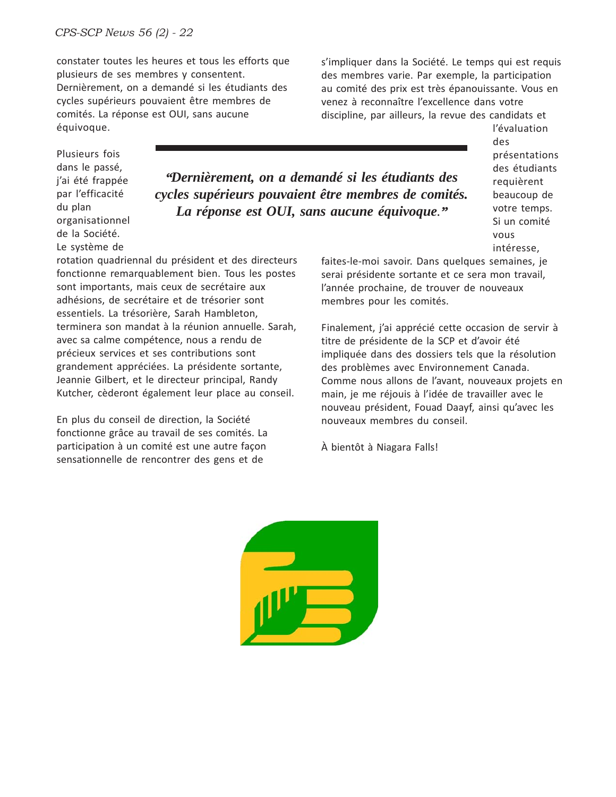constater toutes les heures et tous les efforts que plusieurs de ses membres y consentent. Dernièrement, on a demandé si les étudiants des cycles supérieurs pouvaient être membres de comités. La réponse est OUI, sans aucune équivoque.

s'impliquer dans la Société. Le temps qui est requis des membres varie. Par exemple, la participation au comité des prix est très épanouissante. Vous en venez à reconnaître l'excellence dans votre discipline, par ailleurs, la revue des candidats et

Plusieurs fois dans le passé, j'ai été frappée par l'efficacité du plan organisationnel de la Société. Le système de

*"Dernièrement, on a demandé si les étudiants des cycles supérieurs pouvaient être membres de comités. La réponse est OUI, sans aucune équivoque."*

rotation quadriennal du président et des directeurs fonctionne remarquablement bien. Tous les postes sont importants, mais ceux de secrétaire aux adhésions, de secrétaire et de trésorier sont essentiels. La trésorière, Sarah Hambleton, terminera son mandat à la réunion annuelle. Sarah, avec sa calme compétence, nous a rendu de précieux services et ses contributions sont grandement appréciées. La présidente sortante, Jeannie Gilbert, et le directeur principal, Randy Kutcher, cèderont également leur place au conseil.

En plus du conseil de direction, la Société fonctionne grâce au travail de ses comités. La participation à un comité est une autre façon sensationnelle de rencontrer des gens et de

faites-le-moi savoir. Dans quelques semaines, je serai présidente sortante et ce sera mon travail, l'année prochaine, de trouver de nouveaux membres pour les comités.

Finalement, j'ai apprécié cette occasion de servir à titre de présidente de la SCP et d'avoir été impliquée dans des dossiers tels que la résolution des problèmes avec Environnement Canada. Comme nous allons de l'avant, nouveaux projets en main, je me réjouis à l'idée de travailler avec le nouveau président, Fouad Daayf, ainsi qu'avec les nouveaux membres du conseil.

À bientôt à Niagara Falls!



l'évaluation des présentations des étudiants requièrent beaucoup de votre temps. Si un comité vous intéresse,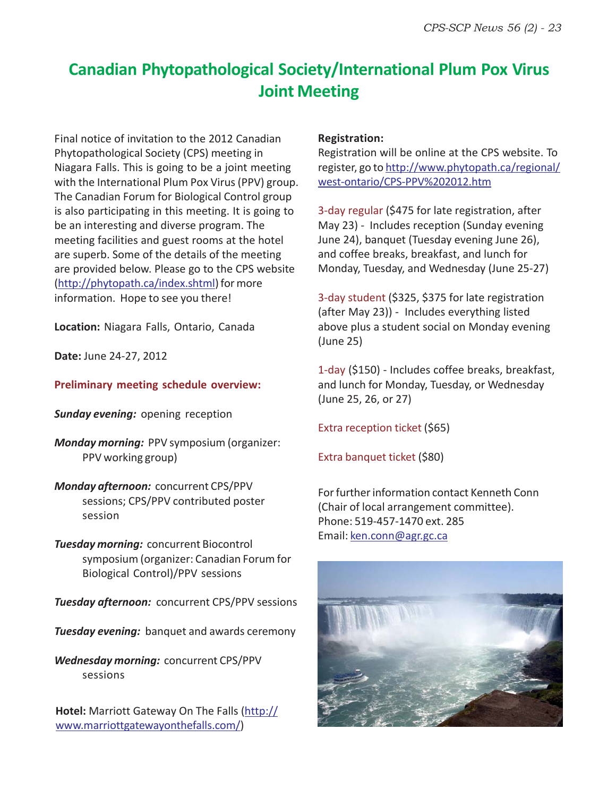## **Canadian Phytopathological Society/International Plum Pox Virus Joint Meeting**

Final notice of invitation to the 2012 Canadian Phytopathological Society (CPS) meeting in Niagara Falls. This is going to be a joint meeting with the International Plum Pox Virus (PPV) group. The Canadian Forum for Biological Control group is also participating in this meeting. It is going to be an interesting and diverse program. The meeting facilities and guest rooms at the hotel are superb. Some of the details of the meeting are provided below. Please go to the CPS website (http://phytopath.ca/index.shtml) for more information. Hope to see you there!

**Location:** Niagara Falls, Ontario, Canada

**Date:** June 24-27, 2012

**Preliminary meeting schedule overview:**

*Sunday evening:* opening reception

*Monday morning:* PPV symposium (organizer: PPV working group)

*Monday afternoon:* concurrent CPS/PPV sessions; CPS/PPV contributed poster session

*Tuesday morning:* concurrent Biocontrol symposium (organizer: Canadian Forum for Biological Control)/PPV sessions

*Tuesday afternoon:*concurrent CPS/PPV sessions

*Tuesday evening:*banquet and awards ceremony

*Wednesday morning:* concurrent CPS/PPV sessions

**Hotel:** Marriott Gateway On The Falls (http:// www.marriottgatewayonthefalls.com/)

#### **Registration:**

Registration will be online at the CPS website. To register, go to http://www.phytopath.ca/regional/ west-ontario/CPS-PPV%202012.htm

3-day regular (\$475 for late registration, after May 23) - Includes reception (Sunday evening June 24), banquet (Tuesday evening June 26), and coffee breaks, breakfast, and lunch for Monday, Tuesday, and Wednesday (June 25-27)

3-day student (\$325, \$375 for late registration (after May 23)) - Includes everything listed above plus a student social on Monday evening (June 25)

1-day (\$150) - Includes coffee breaks, breakfast, and lunch for Monday, Tuesday, or Wednesday (June 25, 26, or 27)

Extra reception ticket (\$65)

Extra banquet ticket (\$80)

For further information contact Kenneth Conn (Chair of local arrangement committee). Phone: 519-457-1470 ext. 285 Email: ken.conn@agr.gc.ca

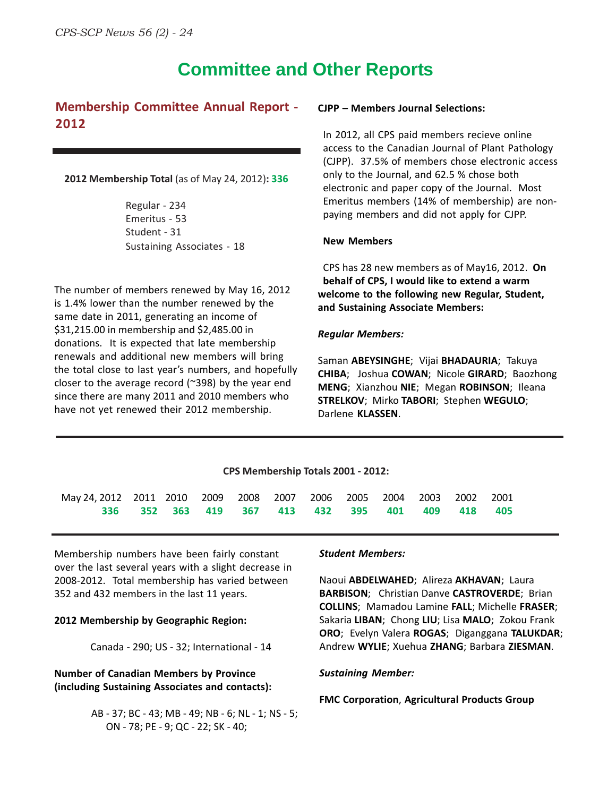## **Committee and Other Reports**

#### **Membership Committee Annual Report - 2012**

#### **2012 Membership Total** (as of May 24, 2012)**: 336**

Regular - 234 Emeritus - 53 Student - 31 Sustaining Associates - 18

The number of members renewed by May 16, 2012 is 1.4% lower than the number renewed by the same date in 2011, generating an income of \$31,215.00 in membership and \$2,485.00 in donations. It is expected that late membership renewals and additional new members will bring the total close to last year's numbers, and hopefully closer to the average record (~398) by the year end since there are many 2011 and 2010 members who have not yet renewed their 2012 membership.

#### **CJPP – Members Journal Selections:**

In 2012, all CPS paid members recieve online access to the Canadian Journal of Plant Pathology (CJPP). 37.5% of members chose electronic access only to the Journal, and 62.5 % chose both electronic and paper copy of the Journal. Most Emeritus members (14% of membership) are nonpaying members and did not apply for CJPP.

#### **New Members**

CPS has 28 new members as of May16, 2012. **On behalf of CPS, I would like to extend a warm welcome to the following new Regular, Student, and Sustaining Associate Members:**

#### *Regular Members:*

Saman **ABEYSINGHE**; Vijai **BHADAURIA**; Takuya **CHIBA**; Joshua **COWAN**; Nicole **GIRARD**; Baozhong **MENG**; Xianzhou **NIE**; Megan **ROBINSON**; Ileana **STRELKOV**; Mirko **TABORI**; Stephen **WEGULO**; Darlene **KLASSEN**.

| CPS Membership Totals 2001 - 2012:                                         |  |  |  |  |  |  |  |  |  |                                         |       |  |
|----------------------------------------------------------------------------|--|--|--|--|--|--|--|--|--|-----------------------------------------|-------|--|
| May 24, 2012 2011 2010 2009 2008 2007 2006 2005 2004 2003 2002 2001<br>336 |  |  |  |  |  |  |  |  |  | 352 363 419 367 413 432 395 401 409 418 | - 405 |  |

Membership numbers have been fairly constant over the last several years with a slight decrease in 2008-2012. Total membership has varied between 352 and 432 members in the last 11 years.

#### **2012 Membership by Geographic Region:**

Canada - 290; US - 32; International - 14

#### **Number of Canadian Members by Province (including Sustaining Associates and contacts):**

AB - 37; BC - 43; MB - 49; NB - 6; NL - 1; NS - 5; ON - 78; PE - 9; QC - 22; SK - 40;

#### *Student Members:*

Naoui **ABDELWAHED**; Alireza **AKHAVAN**; Laura **BARBISON**; Christian Danve **CASTROVERDE**; Brian **COLLINS**; Mamadou Lamine **FALL**; Michelle **FRASER**; Sakaria **LIBAN**; Chong **LIU**; Lisa **MALO**; Zokou Frank **ORO**; Evelyn Valera **ROGAS**; Diganggana **TALUKDAR**; Andrew **WYLIE**; Xuehua **ZHANG**; Barbara **ZIESMAN**.

#### *Sustaining Member:*

#### **FMC Corporation**, **Agricultural Products Group**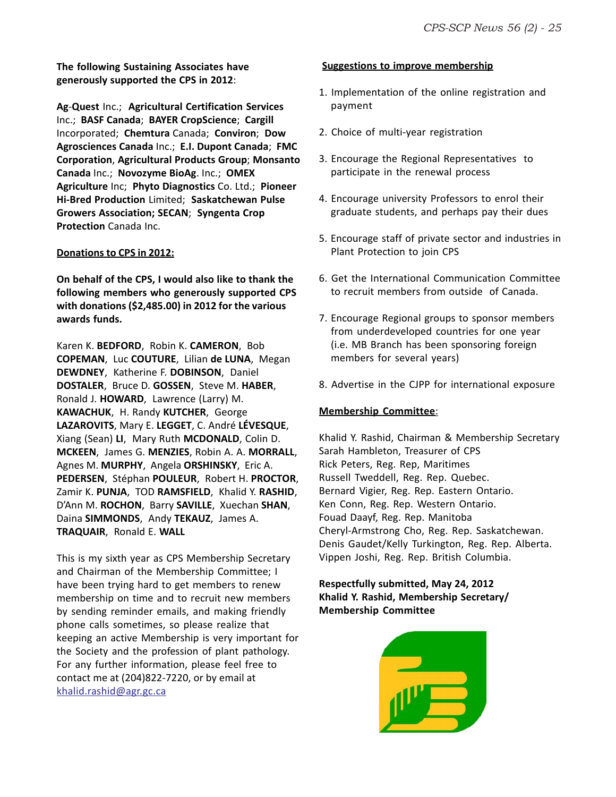**The following Sustaining Associates have generously supported the CPS in 2012**:

**Ag**-**Quest** Inc.; **Agricultural Certification Services** Inc.; **BASF Canada**; **BAYER CropScience**; **Cargill** Incorporated; **Chemtura** Canada; **Conviron**; **Dow Agrosciences Canada** Inc.; **E.I. Dupont Canada**; **FMC Corporation**, **Agricultural Products Group**; **Monsanto Canada** Inc.; **Novozyme BioAg**. Inc.; **OMEX Agriculture** Inc; **Phyto Diagnostics** Co. Ltd.; **Pioneer Hi-Bred Production** Limited; **Saskatchewan Pulse Growers Association; SECAN**; **Syngenta Crop Protection** Canada Inc.

#### **Donations to CPS in 2012:**

**On behalf of the CPS, I would also like to thank the following members who generously supported CPS with donations (\$2,485.00) in 2012 for the various awards funds.**

Karen K. **BEDFORD**, Robin K. **CAMERON**, Bob **COPEMAN**, Luc **COUTURE**, Lilian **de LUNA**, Megan **DEWDNEY**, Katherine F. **DOBINSON**, Daniel **DOSTALER**, Bruce D. **GOSSEN**, Steve M. **HABER**, Ronald J. **HOWARD**, Lawrence (Larry) M. **KAWACHUK**, H. Randy **KUTCHER**, George **LAZAROVITS**, Mary E. **LEGGET**, C. André **LÉVESQUE**, Xiang (Sean) **LI**, Mary Ruth **MCDONALD**, Colin D. **MCKEEN**, James G. **MENZIES**, Robin A. A. **MORRALL**, Agnes M. **MURPHY**, Angela **ORSHINSKY**, Eric A. **PEDERSEN**, Stéphan **POULEUR**, Robert H. **PROCTOR**, Zamir K. **PUNJA**, TOD **RAMSFIELD**, Khalid Y. **RASHID**, D'Ann M. **ROCHON**, Barry **SAVILLE**, Xuechan **SHAN**, Daina **SIMMONDS**, Andy **TEKAUZ**, James A. **TRAQUAIR**, Ronald E. **WALL**

This is my sixth year as CPS Membership Secretary and Chairman of the Membership Committee; I have been trying hard to get members to renew membership on time and to recruit new members by sending reminder emails, and making friendly phone calls sometimes, so please realize that keeping an active Membership is very important for the Society and the profession of plant pathology. For any further information, please feel free to contact me at (204)822-7220, or by email at khalid.rashid@agr.gc.ca

#### **Suggestions to improve membership**

- 1. Implementation of the online registration and payment
- 2. Choice of multi-year registration
- 3. Encourage the Regional Representatives to participate in the renewal process
- 4. Encourage university Professors to enrol their graduate students, and perhaps pay their dues
- 5. Encourage staff of private sector and industries in Plant Protection to join CPS
- 6. Get the International Communication Committee to recruit members from outside of Canada.
- 7. Encourage Regional groups to sponsor members from underdeveloped countries for one year (i.e. MB Branch has been sponsoring foreign members for several years)
- 8. Advertise in the CJPP for international exposure

#### **Membership Committee**:

Khalid Y. Rashid, Chairman & Membership Secretary Sarah Hambleton, Treasurer of CPS Rick Peters, Reg. Rep, Maritimes Russell Tweddell, Reg. Rep. Quebec. Bernard Vigier, Reg. Rep. Eastern Ontario. Ken Conn, Reg. Rep. Western Ontario. Fouad Daayf, Reg. Rep. Manitoba Cheryl-Armstrong Cho, Reg. Rep. Saskatchewan. Denis Gaudet/Kelly Turkington, Reg. Rep. Alberta. Vippen Joshi, Reg. Rep. British Columbia.

#### **Respectfully submitted, May 24, 2012 Khalid Y. Rashid, Membership Secretary/ Membership Committee**

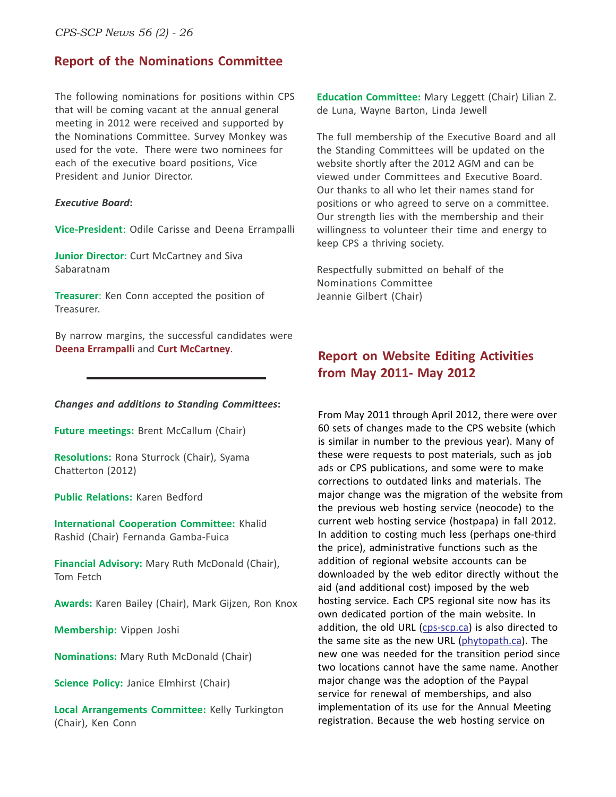#### **Report of the Nominations Committee**

The following nominations for positions within CPS that will be coming vacant at the annual general meeting in 2012 were received and supported by the Nominations Committee. Survey Monkey was used for the vote. There were two nominees for each of the executive board positions, Vice President and Junior Director.

#### *Executive Board***:**

**Vice-President**: Odile Carisse and Deena Errampalli

**Junior Director:** Curt McCartney and Siva Sabaratnam

**Treasurer**: Ken Conn accepted the position of Treasurer.

By narrow margins, the successful candidates were **Deena Errampalli** and **Curt McCartney**.

#### *Changes and additions to Standing Committees***:**

**Future meetings:** Brent McCallum (Chair)

**Resolutions:** Rona Sturrock (Chair), Syama Chatterton (2012)

**Public Relations:** Karen Bedford

**International Cooperation Committee:** Khalid Rashid (Chair) Fernanda Gamba-Fuica

**Financial Advisory:** Mary Ruth McDonald (Chair), Tom Fetch

**Awards:** Karen Bailey (Chair), Mark Gijzen, Ron Knox

**Membership:** Vippen Joshi

**Nominations:** Mary Ruth McDonald (Chair)

**Science Policy: Janice Elmhirst (Chair)** 

**Local Arrangements Committee:** Kelly Turkington (Chair), Ken Conn

**Education Committee:** Mary Leggett (Chair) Lilian Z. de Luna, Wayne Barton, Linda Jewell

The full membership of the Executive Board and all the Standing Committees will be updated on the website shortly after the 2012 AGM and can be viewed under Committees and Executive Board. Our thanks to all who let their names stand for positions or who agreed to serve on a committee. Our strength lies with the membership and their willingness to volunteer their time and energy to keep CPS a thriving society.

Respectfully submitted on behalf of the Nominations Committee Jeannie Gilbert (Chair)

#### **Report on Website Editing Activities from May 2011- May 2012**

From May 2011 through April 2012, there were over 60 sets of changes made to the CPS website (which is similar in number to the previous year). Many of these were requests to post materials, such as job ads or CPS publications, and some were to make corrections to outdated links and materials. The major change was the migration of the website from the previous web hosting service (neocode) to the current web hosting service (hostpapa) in fall 2012. In addition to costing much less (perhaps one-third the price), administrative functions such as the addition of regional website accounts can be downloaded by the web editor directly without the aid (and additional cost) imposed by the web hosting service. Each CPS regional site now has its own dedicated portion of the main website. In addition, the old URL (cps-scp.ca) is also directed to the same site as the new URL (phytopath.ca). The new one was needed for the transition period since two locations cannot have the same name. Another major change was the adoption of the Paypal service for renewal of memberships, and also implementation of its use for the Annual Meeting registration. Because the web hosting service on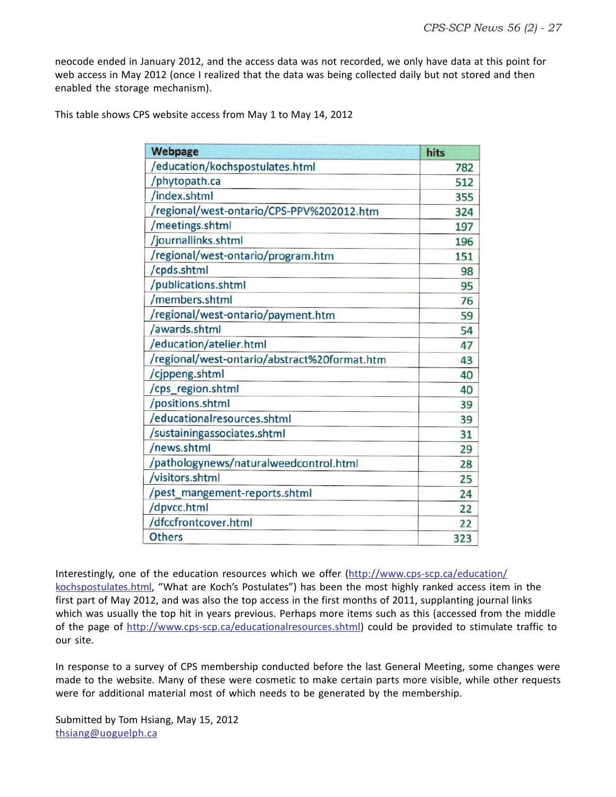neocode ended in January 2012, and the access data was not recorded, we only have data at this point for web access in May 2012 (once I realized that the data was being collected daily but not stored and then enabled the storage mechanism).

This table shows CPS website access from May 1 to May 14, 2012

| <b>Webpage</b>                               | hits |
|----------------------------------------------|------|
| /education/kochspostulates.html              | 782  |
| /phytopath.ca                                | 512  |
| /index.shtml                                 | 355  |
| /regional/west-ontario/CPS-PPV%202012.htm    | 324  |
| /meetings.shtml                              | 197  |
| /journallinks.shtml                          | 196  |
| /regional/west-ontario/program.htm           | 151  |
| /cpds.shtml                                  | 98   |
| /publications.shtml                          | 95   |
| /members.shtml                               | 76   |
| /regional/west-ontario/payment.htm           | 59   |
| /awards.shtml                                | 54   |
| /education/atelier.html                      | 47   |
| /regional/west-ontario/abstract%20format.htm | 43   |
| /cjppeng.shtml                               | 40   |
| /cps_region.shtml                            | 40   |
| /positions.shtml                             | 39   |
| /educationalresources.shtml                  | 39   |
| /sustainingassociates.shtml                  | 31   |
| /news.shtml                                  | 29   |
| /pathologynews/naturalweedcontrol.html       | 28   |
| /visitors.shtml                              | 25   |
| /pest_mangement-reports.shtml                | 24   |
| /dpvcc.html                                  | 22   |
| /dfccfrontcover.html                         | 22   |
| <b>Others</b>                                | 323  |

Interestingly, one of the education resources which we offer (http://www.cps-scp.ca/education/ kochspostulates.html, "What are Koch's Postulates") has been the most highly ranked access item in the first part of May 2012, and was also the top access in the first months of 2011, supplanting journal links which was usually the top hit in years previous. Perhaps more items such as this (accessed from the middle of the page of http://www.cps-scp.ca/educationalresources.shtml) could be provided to stimulate traffic to our site.

In response to a survey of CPS membership conducted before the last General Meeting, some changes were made to the website. Many of these were cosmetic to make certain parts more visible, while other requests were for additional material most of which needs to be generated by the membership.

Submitted by Tom Hsiang, May 15, 2012 thsiang@uoguelph.ca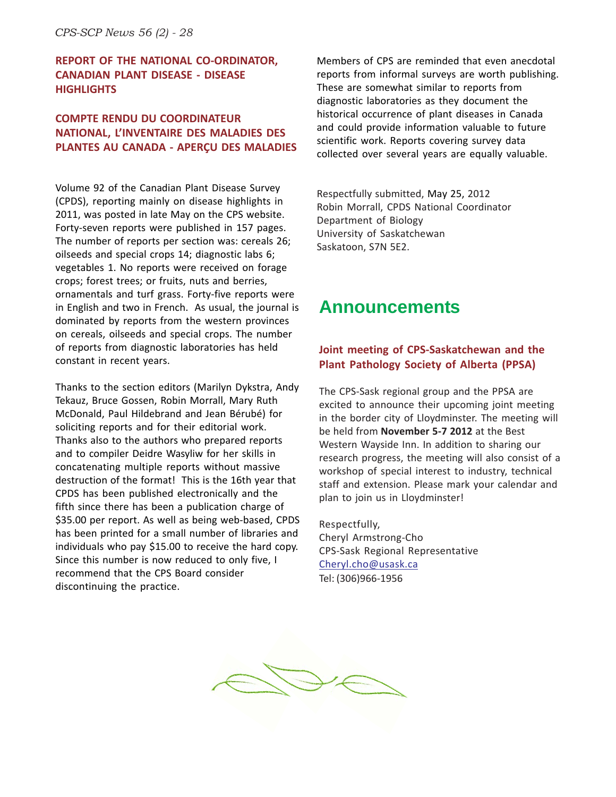#### **REPORT OF THE NATIONAL CO-ORDINATOR, CANADIAN PLANT DISEASE - DISEASE HIGHLIGHTS**

#### **COMPTE RENDU DU COORDINATEUR NATIONAL, L'INVENTAIRE DES MALADIES DES PLANTES AU CANADA - APERÇU DES MALADIES**

Volume 92 of the Canadian Plant Disease Survey (CPDS), reporting mainly on disease highlights in 2011, was posted in late May on the CPS website. Forty-seven reports were published in 157 pages. The number of reports per section was: cereals 26; oilseeds and special crops 14; diagnostic labs 6; vegetables 1. No reports were received on forage crops; forest trees; or fruits, nuts and berries, ornamentals and turf grass. Forty-five reports were in English and two in French. As usual, the journal is dominated by reports from the western provinces on cereals, oilseeds and special crops. The number of reports from diagnostic laboratories has held constant in recent years.

Thanks to the section editors (Marilyn Dykstra, Andy Tekauz, Bruce Gossen, Robin Morrall, Mary Ruth McDonald, Paul Hildebrand and Jean Bérubé) for soliciting reports and for their editorial work. Thanks also to the authors who prepared reports and to compiler Deidre Wasyliw for her skills in concatenating multiple reports without massive destruction of the format! This is the 16th year that CPDS has been published electronically and the fifth since there has been a publication charge of \$35.00 per report. As well as being web-based, CPDS has been printed for a small number of libraries and individuals who pay \$15.00 to receive the hard copy. Since this number is now reduced to only five, I recommend that the CPS Board consider discontinuing the practice.

Members of CPS are reminded that even anecdotal reports from informal surveys are worth publishing. These are somewhat similar to reports from diagnostic laboratories as they document the historical occurrence of plant diseases in Canada and could provide information valuable to future scientific work. Reports covering survey data collected over several years are equally valuable.

Respectfully submitted, May 25, 2012 Robin Morrall, CPDS National Coordinator Department of Biology University of Saskatchewan Saskatoon, S7N 5E2.

## **Announcements**

#### **Joint meeting of CPS-Saskatchewan and the Plant Pathology Society of Alberta (PPSA)**

The CPS-Sask regional group and the PPSA are excited to announce their upcoming joint meeting in the border city of Lloydminster. The meeting will be held from **November 5-7 2012** at the Best Western Wayside Inn. In addition to sharing our research progress, the meeting will also consist of a workshop of special interest to industry, technical staff and extension. Please mark your calendar and plan to join us in Lloydminster!

Respectfully, Cheryl Armstrong-Cho CPS-Sask Regional Representative Cheryl.cho@usask.ca Tel: (306)966-1956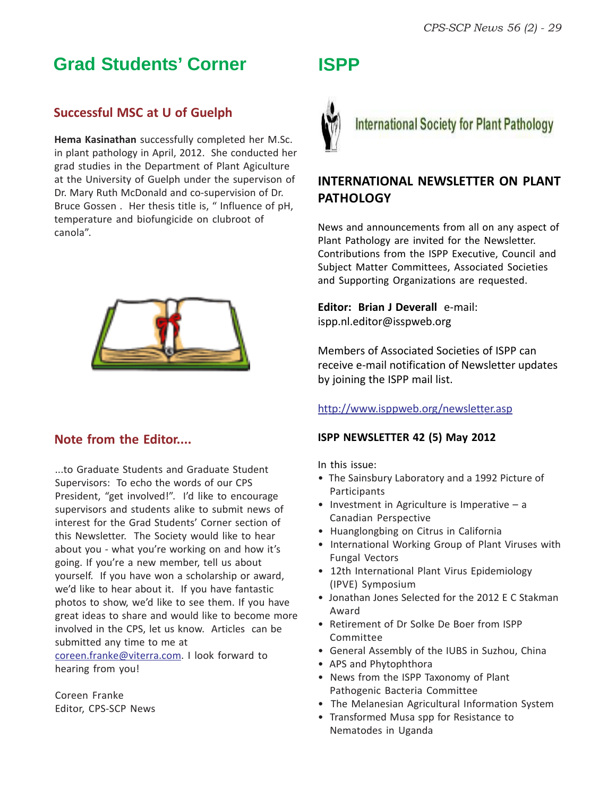## **Grad Students' Corner**

### **Successful MSC at U of Guelph**

**Hema Kasinathan** successfully completed her M.Sc. in plant pathology in April, 2012. She conducted her grad studies in the Department of Plant Agiculture at the University of Guelph under the supervison of Dr. Mary Ruth McDonald and co-supervision of Dr. Bruce Gossen . Her thesis title is, " Influence of pH, temperature and biofungicide on clubroot of canola".



#### **Note from the Editor....**

...to Graduate Students and Graduate Student Supervisors: To echo the words of our CPS President, "get involved!". I'd like to encourage supervisors and students alike to submit news of interest for the Grad Students' Corner section of this Newsletter. The Society would like to hear about you - what you're working on and how it's going. If you're a new member, tell us about yourself. If you have won a scholarship or award, we'd like to hear about it. If you have fantastic photos to show, we'd like to see them. If you have great ideas to share and would like to become more involved in the CPS, let us know. Articles can be submitted any time to me at

coreen.franke@viterra.com. I look forward to hearing from you!

Coreen Franke Editor, CPS-SCP News

## **ISPP**



**International Society for Plant Pathology** 

### **INTERNATIONAL NEWSLETTER ON PLANT PATHOLOGY**

News and announcements from all on any aspect of Plant Pathology are invited for the Newsletter. Contributions from the ISPP Executive, Council and Subject Matter Committees, Associated Societies and Supporting Organizations are requested.

**Editor: Brian J Deverall** e-mail: ispp.nl.editor@isspweb.org

Members of Associated Societies of ISPP can receive e-mail notification of Newsletter updates by joining the ISPP mail list.

#### http://www.isppweb.org/newsletter.asp

#### **ISPP NEWSLETTER 42 (5) May 2012**

In this issue:

- The Sainsbury Laboratory and a 1992 Picture of **Participants**
- Investment in Agriculture is Imperative  $a$ Canadian Perspective
- Huanglongbing on Citrus in California
- International Working Group of Plant Viruses with Fungal Vectors
- 12th International Plant Virus Epidemiology (IPVE) Symposium
- Jonathan Jones Selected for the 2012 E C Stakman Award
- Retirement of Dr Solke De Boer from ISPP Committee
- General Assembly of the IUBS in Suzhou, China
- APS and Phytophthora
- News from the ISPP Taxonomy of Plant Pathogenic Bacteria Committee
- The Melanesian Agricultural Information System
- Transformed Musa spp for Resistance to Nematodes in Uganda